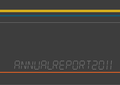| <b>BEREE</b> |           |     |     |    |  | 易器固固器 |  |       | <b>BNAME</b> | <b>BEERS</b> | ----- | <b>BURBA</b> | <b>BURBER</b> | <b>BREES</b> | -----        | 医圆圆器皿 |  |
|--------------|-----------|-----|-----|----|--|-------|--|-------|--------------|--------------|-------|--------------|---------------|--------------|--------------|-------|--|
|              | 医囊        |     | 图案  |    |  |       |  |       |              |              |       |              |               |              |              |       |  |
|              |           |     | . . |    |  |       |  |       |              |              |       |              |               |              |              |       |  |
|              | .         |     |     |    |  |       |  |       |              |              |       |              |               |              |              |       |  |
|              | "要",要"要"。 |     |     |    |  |       |  |       |              |              |       |              |               |              |              |       |  |
| <b>_____</b> |           |     |     |    |  | ----- |  | 图解器器图 |              | <b>BEERS</b> | 医圆圈回器 |              | 医圆器圆圈         |              | <b>BEERE</b> |       |  |
|              |           |     |     |    |  |       |  |       |              |              |       |              |               |              |              |       |  |
|              | . .       | . . |     | .  |  |       |  |       |              |              |       |              |               |              |              |       |  |
|              |           |     |     |    |  |       |  | . .   |              |              |       |              |               |              |              |       |  |
|              |           |     |     | 图图 |  |       |  |       |              |              |       |              |               |              |              |       |  |
|              |           |     |     | 展展 |  |       |  |       |              |              |       |              |               |              |              |       |  |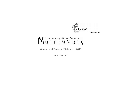

... towards common values!

MULTIMEDIA

Annual and Financial Statement 2011

November 2011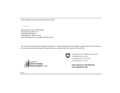PREPARED BY:

Performing Arts Center MULTIMEDIA DTC Mavrovka Lamela C 1/1 1000 Skopje, Macedonia Telephone/ fax: +389 2 3111570 www.multimedia.org.mk | info@multimedia.org.mk

This report was allowed by Civica Mobilitas Programme – implemented by CIRa and financially supported by SDC. The content of the material represents standings of its author(s) and not necessary reflect the opinion of CIRa and SDC.





Schweizerische Eidgenossenschaft Confédération suisse Confederazione Svizzera Confederaziun svizra

**Swiss Agency for Development** and Cooperation SDC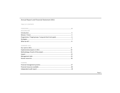# TABLE OF CONTENTS

| <b>BACKGROUND</b> |  |
|-------------------|--|
|                   |  |
|                   |  |
|                   |  |
|                   |  |
|                   |  |

# SUMMARY 2011

# FUNDING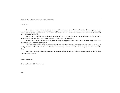#### FOREWORD

I am pleased to have the opportunity to present this report on the achievements of the Performing Arts CenterMultimedia covering the 2011 calendar year. This Annual Report presents a listing and description of the activities, productivity and the financial aspects of it.

 During that period PAC Multimedia made considerable progress in delivering on the commitments for the culture In Republic of Macedonia and in the Balkans as outlined in the Strategic Plan, 2008-2012.

 Cultural policy department continued to grow following the progress made in the past years and New Programmes were launched and new partnership established.

 The following pages provide an overview of the activities PAC Multimedia has undertaken this year. Let me simply say, in closing, that it would be difficult to find a staff that produces as many substantive results with so few people as PAC Multimedia does.

 Much has been achieved in all departments in PAC Multimedia and I wish to thank each and every staff member for their contribution to the work.

Violeta Simjanovska

Executive Director of PAC Multimedia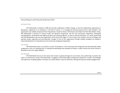#### INTRODUCTION

 PAC Multimedia is initiated in 1998 and formally established in 2000 in Skopje, as the first independent organisation in Macedonia, registered as an Institution in the field of culture. It is managed by Executive Board and its staff members. The organisation was initially composed of four Programmes: Social Art, Music, Performance and Video Art/ Film/ New Media. Today, PAC Multimedia is focused on Cultural Policy and Research Programme and Art and Community Programme, developing interdisciplinary, multicultural and regional projects and training programs, as well as cultural production. It is worth mentioning that PAC Multimedia is the very first organisation of this kind in the region. It is for 14 year now, located in the city of Skopje, and operates locally, regionally and internationally. Changes in front of the organisation through multiple strategies are leading it toward development of comprehensive and community-integrated organisation.

#### THE VISION

 PAC Multimedia vision is to become a center of excellence, in the community well integrated and internationally widely recognised as such, an initiating force in creating and developing new standards of living in a wider cultural and social context in Macedonia and in the region (Balkan).

#### THE MISSION

 PAC Multimedia focuses on the values that society is gaining through arts and culture, thus performing in practice the values of a democratic society. PAC Multimedia is engaged in performing higher professional standards in transfer of knowledge and experience, bringing together innovative art, public debate, research, education, lifelong learning and socially engaged work.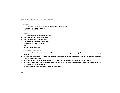#### PROGRAMMES

The main programmes for the period 2008-2012 are the following:

- CULTURAL POLICY AND RESEARCH
- ART AND COMMUNITY

#### TARGET GROUPS

The main target groups are the following:

- Cultural institutions and policy makers;
- Cultural organisations and operators;
- Intellectuals, academics and researchers;
- Professional artists and art operators;
- Youth;
- Socially marginalised groups.

#### LONG AND SHORT TERM GOALS

- To Influence in a wider cultural and social context on national and regional level (influence over participative policy making);
- To assist and serve needs of cultural stakeholders, artists and instituitons with creating new and educational programs based on advancing knowledge;
- To create conditions for generating highly artistic criteria and standards and to support cultural production;
- To conduct researches in the cultural field in Macedonia and build collaborative relationships with cultural stakeholders in the country, the region and wider;
- To become a center of exellence for transfer of know-how.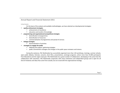#### **STRATEGIES**

On the basis of the analysis and available methodologies, we have selected our developmental strategies:

- quality achievement strategies
	- achievements of excellence
	- education and transfer of knowledge
- programming and organizational (competitive) strategies
	- diversification of programmes
	- diversification of resources
	- commercialisation of programmes and spread of services
- linkage strategies
	- decentralisation of activities
- strategies to engage the public
	- lobbying and support- gathering strategies
	- public commitment strategies and changes in the public space reviewers and trainers.

 During the existence, PAC Multimedia has successfully organised more than 120 workshops, trainings, summer schools, open public debates, festivals, concerts, short films, presentations, exchange programs, where more than 55.000 participants from Macedonia and the region took part. PAC Multimedia has a great number of collaborators, developing in the same time the collaboration with volunteers. PAC Multimedia cooperates with many institutions and independent groups and is open for all kind of initiatives and ideas that come from outside, but are tuned with the organisational strategy.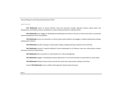#### WHAT WE DO?

PAC Multimedia works on several thematic areas that promotes strategic approach toward cultural policy and development and facilitates citizens' participation in policy making and decision-making activities.

PAC Multimedia team engages in identifying and developing instruments in the area of culture that lead to a systematic cultural development of the municipalities.

PAC Multimedia carries out researches on cultural needs, policy problems and engages in evidence-based policy making, seeking policy solutions.

PAC Multimedia provides trainings in cultural policy making, strategic planning, evaluation and monitoring.

PAC Multimedia involves in capacity building of cultural stakeholders so to influence more over cultural policy creation processes at local and national level.

PAC Multimedia does consultancy in cultural policy and cultural management.

PAC Multimedia engages in facilitating innovative approaches in non-formal education of youth based on social media.

PAC Multimedia facilitates youth activism and links the youth with cultural policy making on local level.

Overall, PAC Multimedia nurtures visible critical approach toward society processes.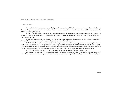#### OUR WORK IN 2011

 During 2011, PAC Multimedia was developing and implementing activities in the framework of the Cultural Policy and Research Programme as well as developing innovative approaches in non-formal education based on social media as part of the Art and Community Programme.

 In 2011, PAC Multimedia continued with the implementation of the regional cultural policy project. This project is a pioneer in building the relations among the civil society sector in Kosovo and Macedonia in the field of culture, and especially in cultural policy making.

 In 2011, PAC Multimedia was engaged in proving training and capacity management for the cultural institutions in Bosnia and Herzegovina as well as in analyzing the cultural scene in EU and Switzerland.

 In 2011, PAC Multimedia initiated projects related to youth involvement in human rights discussion showing how human rights education can become an integrating force that brings together young people, NGOs activists, school staff and experts. These initiatives were also an example of a successful cooperation between the civil society organisations and public schools in sharing and promoting the idea of human dignity through learning, training and practice by utilizing different mediums.

In 2011, PAC Multimedia refined its skills and expertise in cultural policy and cultural management.

 Among all, the focus was also directed toward the institutional development of the organisation that capitalised with institutional support for the coming years where the internal structure of the organisation and its culture would be strengthened.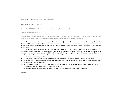#### IMPLEMENTED PROJECTS IN 2011

Project: CULTURE FROM-FOR ALL: policy cooperation among Macedonia and Kosovo

Duration: July 2009/ July 2012

Funding: Swiss Cultural Programme for the Western Balkan, European Cultural Foundation, Stability Pack for SEE through funds of the Embassy of Germany in Skopje, contribution by the municipalities and the organisers.

 The project is based on the presumption that culture is not just some kind of an extra option to the municipalities in the Republic of Macedonia and Republic of Kosovo, but it is its essential component for social cohesion, an improvement to the life quality of its citizens regardless of their ethnical, religious, educational, social, gender background, as well as to its economic development.

 If culture is about identities, lifestyles, conduct, ethics, governance and the ways in which we go about our daily lives, this should not be too difficult to countenance. If we agree to have policies about culture or link culture to developmentobjectives then we are also consenting, explicitly or implicitly, to logic of planning. Planning, that is to say, is not just about 'hard infrastructure' but also about soft and creative infrastructure: people and their needs and visions.

General goals of the project are:

- To increase and encourage the citizens` participation in policy making and decision-making activities on local level;
- To identify and develop an efficient system of mechanisms in the area of culture that would lead to a systematic cultural development of the municipalities;
- To improve the influence of artists over policy creation process at local and national level in both of the countries and to make them to have a critical approach toward society processes;
- To improve the regional cooperation among the municipalities in the countries involved in the project.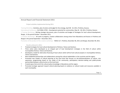Project activities implemented during 2011:

Training Workshop: Activities, plan of action and budget for the strategy, April 08 - 10, 2011, Prishtina, Kosovo; International Conference: CULTURAL CITIES – Development potential for communities, May 26 - 28, 2011, Prishtina, Kosovo; 3 Training Workshops: Writing strategic documents, plan of activities and budget of Strategies for local cultural development, Skopje , in the period October—December 2011;

2 Creative Workshops: Art work in progress, creative collaboration among artists from Macedonia and Kosovo in Prishtina and Skopje in the period September—December 2011;

Promotion of the product of the creative workshops: "Within Us", Prishtina, December 06, 2011 and Skopje, December 09, 2011.

Results achieved in 2011:

- Finalized strategies for local cultural development of Kichevo, Tetovo and Gostivar;
- Three action plans developed as an integral part of local development strategies in the field of culture within municipalities Kichevo, Tetovo and Gostivar;
- Developed a model for alternative financing of local culture which will be fund cultural projects in municipalities Kichevo, Tetovo and Gostivar;
- New established partnerships and collaborations among the cultural stakeholders in the countries and the region;
- Promoted new models of cultural planning at the local level that focuses on de-institutionalization of culture, civic awareness, programming based on the needs of the community, participatory decision-making and public-private partnerships between cultural actors at the local level;
- Created space that enrich the cultural policy knowledge in Macedonia and the region;
- Promoted strategic approach toward cultural planning based on evidence on cultural needs and resources available in each municipality.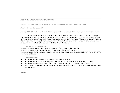Project: DEVELOPING CAPACITIES FOR QUALITY CULTURE MANAGEMENT IN BOSNA AND HERZEGOVINA

Duration: January - September 2011

Funding: UNDP Office in Sarajevo through MDGF programme "Improving Cultural Understanding in Bosnia and Herzegovina".

 The main question in this project was: What BiH cultural institutions needs to undertake in order to ensure progress in cultural life and this progress to fulfill its potentials in order to create a challenge for, make happier, inspire, educate and make better and richer its citizens in every way? The project included: analysis of the best practices of Culture management in EU and Swiss cultural institutions; analysis of the current context of Cultural Management in BiH and needs assessment; and preparation of training curricula on Culture Management for BiH key culture stakeholders.

#### Project activities implemented:

Analysis report on the best practices of Culture management in EU and Swiss cultural institutions; Analysis report on the current context of Cultural Management in BiH and needs assessment; Trainings: Strategic Planning in Cultural Management for BiH key culture stakeholders and EU and other funds for culture for BiH key culture stakeholders.

Results achieved:

- Acquired knowledge on long-term (strategic) planning in turbulent times;
- Acquired knowledge of financial management, collection efforts (additional) funds and fundraising in culture;
- Acquired knowledge of the process of application to the EU funds (project management specific to EU funds);
- Built understanding of the role and functioning of public institutions and civil sector in the field of culture and its transformation.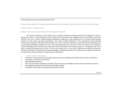Project: STRENGTHENING THE EVIDENCE BASED PRACTICE OF EDUCATIONAL CSO's INITIATIVE: CASE STUDY OF MACEDONIA

Duration: January - September 2011

#### Funding: Open Society Institute through Education Support Programme

The primarily motivation of the initiative was to develop information gathering protocols and strategies for CSOs to improve the extent to which educational service delivery CSO interventions are validated sources of systematic social data. Therefore, this was a research strategy capacity development programme, which adopted the use of practice based learning activities and test based instrument development. The project included elaboration of the organisational data gathering protocols and strategies by PAC Multimedia and other CSO`s in the country with objective to summarise the introspective process of considering knowledge management as part of the organisational history and work of CSOs and based on the findings to conduct knowledge audit. The final report summarised all of the findings of the research process in a compilation that can be used as learning and guiding tool for CSOs. The aim of the report was, on one side, to identify and analyse key processes, techniques and tools for creating and harnessing knowledge in PAC Multimedia and, on the other side, to provide information on the status of the subject among the civil society sector in Macedonia.

Project activities implemented:

- Elaboration of the organisational data gathering protocols and strategies by PAC Multimedia and CSOs in Macedonia;
- Participation at CIES event in Montreal;
- Methodology development;
- KM survey, including: Knowledge need analysis (K-needs analysis); Knowledge inventory analysis (K-inventory analysis);
- Knowledge flow analysis (K-flow analysis); Knowledge mapping.
- Preparation of final report and public promotion of the results.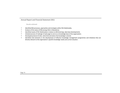Results achieved:

- Identified KM processes, approaches and strategies within PAC Multimedia;
- Analysis of the status of KM among CSOs in Macedonia;
- Identified needs of PAC Multimedia in relation to KM (trainings, data base development);
- Initiated process of redesign of web page to serve as a knowledge base of the organisation;
- Developed protocol of who, what kind and where the knowledge is stored;
- Identified vital elements in the development of effective knowledge management programmes and initiatives that are directly relevant to the organisation's specific knowledge needs and current situation.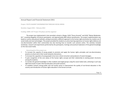Project: YOUTH AGAINST DISCRIMINATION THROUGH SOCIAL MEDIA

Duration: August 2011 - February 2012

Funding: UNDP, ACT Project 7th phase and the organiser

The project was implemented in two secondary schools is Skopje, SUGS "Pance Arsovski" and SUGS "Marija Sklodovska-Kiri", involving altogether 40 directs participants, and approximately 800 indirect beneficiaries. The project implementation was based on various educational methods, aiming to promote a different approach to the human rights promotion by creative use of social media and new technologies. The project provided the students an active learning experience on human rights defense and non-discrimination within their communities but also learning how to transfer such activism online. The activities included workshops, research and experiments performed by the participants, trainings and practical implication of the gained knowledge on the new social media.

#### General goals of the project are:

- To increase the capacity of young people to promote and apply the human rights principles and non-discriminatory practice at school and in their social networks interactions;
- To increase the capacities of young people to be more critical consumers and producers of social messages;
- To give recognition of the core values of the human rights concept and their relationship to existing power structures among the students;
- To transfer the gained knowledge to other students and target groups using the social media tools, achieving in such way high level of peer-to-peer informal education and youth activism;
- To establish contacts among public and civil society sector in improvement the quality of non-formal education in the country and introduction of human rights education in the formal curricula.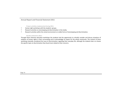Project activities implemented during 2011:

- Human right workshops with the students` groups;
- Research activities on stereotyping and discrimination in the media;
- Research activities within the school environment on visible forms of stereotyping and discrimination;

#### Results achieved in 2011:

 Through these intensive educative workshops the students had the opportunity to critically consider and discuss situations of violation of human rights in their surrounding and to acknowledge its impact for the whole community. The content of these workshops basically considered the issue of discrimination regarding their everyday life, although the students later on choose the specific topic on discrimination they found most related to their concerns.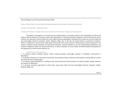Project: INTER-ETHNIC YOUTH PARTICIPATION IN HUMAN RIGHTS DEBATE USING SOCIAL MEDIA

Duration: October 2011 - September 2012

Funding: US Embassy in Skopje, Democracy Commission Small Grants Program and the organiser

The project is envisaged as a 12-months process implemented in 2 secondary schools in the municipalities of Tetovo and Gostivar with the objective to enhance youth active participation in fostering interethnic dialogue in school environment and to enhance civic awareness and the respect for human rights among young people in Macedonia by creative use of social media and new technologies (Internet, Facebook, Twitter, Myspace, Blogs, etc). In this aim, the project hopes to contribute to student`s efforts in making their schools human rights based community and to assist schools in becoming save school environment. The project`s activities include workshops on multicultural education, research activities to scan the understanding of difference and reaction to difference within the school environment, as well as education on social media, all directed toward development of new approach for social inclusion based on art.

#### General goals of the project are:

1. To promote positive attitudes towards 'others' among secondary school-aged students in multiethnic communities in Macedonia;

2. To develop mechanisms in the school environment that promotes respect, tolerance and acceptance among different cultural and ethnic groups of young people;

3. To enhance youth participation in creating of safe school environment that promotes non-violent problem solving, tolerance and respect for differences.

4. To promote innovative approaches in youth work, using social media and new technologies (Internet, Facebook, Twitter, Myspace, Blogs, etc).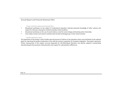Project activities implemented during 2011:

- Educational workshops on the subject of multicultural education inducing improved knowledge of other cultures and respect for tolerance among the involved secondary school students;
- Educational workshops on the use of social media as a tool for social change and boosting active citizenship;
- Case studies reviews and research activities done by both working groups in their school contexts.

#### Results achieved in 2011:

 The importance of the project is that it builds upon the process of reforms in the education sector and contributes to the national goals for improving the quality of education in line with the country's aspiration for European integration. The project represents further improvement of the subject curricula (especially for Life-Skills-Based Education and elective subjects), incorporating educational goals that promote multiculturalism and respect for cultural/ethnic differences.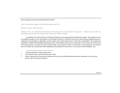Project: Institutional support for PAC Multimedia during 2011

Duration: January - December 2011

Funding: Center for Institutional Development CIRa through the Civica Mobilitas Programme – implemented by CIRa and financially supported by Swiss Development Cooperation Office in Skopje.

During 2011, the Cultural Policy and Research Programme was again granted institutional support. The programme aims to establish principles of civic participation as self-evident measure in all present and future cultural policy-making processes in multicultural municipalities in Macedonia and the region and to share best-practices with other municipalities. The programme establishes a flexible methodological framework where all the different local actors, participants in the cultural life at local level with various powers and tasks (as cultural professionals, artists, decision-makers on local level, cultural operators and citizens) have to be taken into consideration when designing cultural policies for their cities, in an inclusive and 'participative' way.

#### Project activities implemented during 2011:

- Training meetings for cultural policy issue;
- Art production and creative workshops for artists;
- Visits to regional and international conferences of the team of PAC Multimedia where the experience in local cultural policy in the country was presented.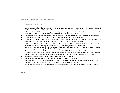Results achieved in 2011:

- 30 trained people from the municipalities of Kichevo, Tetovo and Gostivar from Macedonia and the municipalities of Gnilane, Novo Brdo and Prizren from Kosovo (representatives of the cultural institutions, cultural operators, local administration and NGOs) about creating, implementing, monitoring and evaluating of the cultural policies (as part of the project: CULTURE FROM—FOR ALL: policy cooperation among Macedonia and Kosovo);
- Conducted research activities related to the best practices of Culture management in EU and Swiss cultural institutions;
- Conducted research activities related to the Cultural Management in BiH and needs assessment;
- Conducted two trainings, the first on the issue of Strategic Planning in Cultural Management for BiH key culture stakeholders and the second, on EU and other funds for culture for BiH key culture stakeholders;
- 10 artists from Macedonia and Kosovo received two artistic collaborative programmes and as a result of it they have produced one interdisciplinary performace, presented to the audience in Macedonia and Kosovo;
- 100 people from Macedonia and Kosovo have visited the artistic productions (as part of the project CULTURE FROM/FOR ALL: policy cooperation among Macedonia and Kosovo);
- Organised one International Conference on the theme: CULTURAL CITIES Development potential for communities, where 15 panellists (experts from the Balkans) and 10 representatives from the municipalities of Skopje, Kichevo, Gostivar, Tetovo, Gnilanje, Novo Brdo and Prizren (Mayors and presidents of the City Councils) had expert presentations;
- Redesigned the web page so to serve as a knowledge base of the organisation;
- Developed Knowledge management protocol for the organisation and its staff members;
- Identified vital elements in the development of effective knowledge management programmes and initiatives that are directly relevant to the organisation's specific knowledge needs and current situation;
- Developed methodology for informal education that combined human rights education and art with secondary students` groups.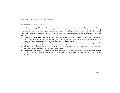#### METHODOLOGY OF WORK OF THE PROJECTS

 The methodological framework for the project activities is structured around several inter-linked platforms that include a) understanding and improving the community environment, b) strengthening the local system and providing good practices, c) capitalizing on inputs and resources, d) enhancing communications and outreach, and lastly, e) mobilising people and utilizing social capital. The working methodology is based on several aspects that contribute to effective implementation of all envisaged activities:

- Participant-Driven Approach: the working subject and methodology is designed to respond to the needs of the involved target groups ; it creates atmosphere and provides tools where the individual and group participation of all beneficiaries in the project design, implementation, monitoring and evaluation can be enhanced;
- Capacity Development: PAC Multimedia is focused on capacity building activities, debates and discussions through which the target groups can improve their knowledge, skills and technical capacities;
- Expertise: PAC Multimedia ensures involvement of experts from Macedonia and the region with relevant knowledge, experience and credibility in the home countries and the region;
- Continuity: PAC Multimedia is devoted to continuous processes. This aspect is an essential part of the policy-oriented platform of PAC Multimedia, but also substantial for improving the communal life by benefiting both citizens and the authorities.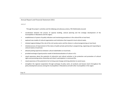#### IMPACT

Through the project`s activities and the lobbying and advocacy actions, PAC Multimedia ensured:

- coordination between the process of capacity building, cultural planning and the strategic development of the municipalities in Macedonia and the region;
- establishment of system of quality indicators and monitoring procedures in the cultural life on local level;
- explored new models of cultural organisations and institutions that respond to local cultural needs;
- initiated regional dialog of the role of the civil society sector and the citizens in cultural programming on local level;
- initiated process of improvement of the status of public-private partnership in programming, organising and responding to cultural needs on local level;
- allowed pooling experiences between cultural stakeholders on local level;
- provided exchange of good practice model of deintitutionalisation of culture in EU;
- raised awareness about the potential of culture/art and cultural activities in the protection and promotion of cultural rights and promoting active citizenship and citizen's participation in communal life;
- raised awareness of the potential of art to bring social change and bring attention to social issues;
- strengthen the regional cooperation through exchange of policy work, art products and lessons learnt throughout the policy development process among the municipalities in Macedonia and with other municipalities in the region.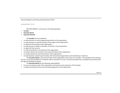#### MANAGEMENT STYLE

PAC MULTIMEDIA is structured in the following bodies:

- **Founder**
- Executive Board
- Executive Director

The Founder has the jurisdiction:

- to make decisions on basic programming activities of the organisation;
- to make decisions on specific activities of the organs of the organisation;
- to adopt the financial plan of the organisation;
- to make decisions related to allocation of funds for current operations;
- to adopt the final account;
- to make amendments to the Statute of the organisation;
- to conduct election for members of the Executive Board of the organisation;
- to conduct election for Executive Director of the organisation;
- to make decisions related to partnerships with international organisations and membership in networks.

The Executive Board is the executive body of the organisation and consists of 5 members. The mandate of the members

lasts for 1 year with possibility of re-election with an extension of 1 year. The Executive Board has a president and secretary with the right of unlimited re-election.

The Executive Board has the following responsibilities:

- to carry out statutory tasks of the organisation and decisions and conclusions of the founder;
- to adopt and implement the annual working programme of the organisation;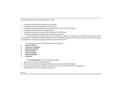- to proposes changes and amendments to the Statute;
- to adopt bylaws, to accept agreements and contracts;
- to organise and actively participate in the organisation of various actions and events;
- to advocate and fund-raises for the organisation;
- to implement decisions for procurement and disposal of fixed assets;
- to decide on participation at symposiums, conferences, seminars.

 The Executive Board convenes and conducts meetings as needed. The meetings are convened by the President of the Executive Board. The Executive Board meetings are kept and adopted during the next meeting. Decisions in the Executive Board are adopted only if majority of members of the Executive Board vote for it.

The managerial structure of PAC Multimedia is composed of:

- 1. Executive Director
- 2. Programme coordinator
- 3. Programme assistant
- 4. Project managers
- 5. Account manager
- 6. Web administrator
- 7. Volunteers

The Executive Director performs the following duties:

- advocates and represents the organisation;
- informs the public about the activities undertaken and measures of the organisation;
- represent the organisation in relations with third parties; e work of the bodies of the organisation;
- undertakes activities for international cooperation;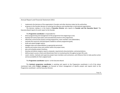- implements the decisions of the organisation's founder and other decisions taken by the authorities;
- proposes to the founder decision on entering into alliances and membership in international organisations.

 The decision making is in the hands of Executive Director who reports to Founder and the Executive Board. The Executive Board reports his work report to the founder.

#### The Programme coordinator is responsible for:

- direct programming and management of the programme from beginning to end;
- develop full-scale project plans and associated documents to the programme;
- effectively communicate projects among programmes, team members and stakeholders;
- estimate the resources and participants needed to achieve programme goals;
- draft and submit budget reports
- delegate tasks and responsibilities to appropriate personnel;
- identify and resolve issues and conflicts within the project team;
- plan and schedule project timelines;
- develop and deliver progress reports, proposals, requirements documentation, and presentations;
- define project success criteria and disseminate them to involved parties throughout project life cycle;
- coach, mentor, motivate and supervise project team members and contractors, and influence them to take positive action and accountability for their assigned work.

The Programme coordinator reports to the Executive Board.

 The Assistant programme coordinator is assisting and reports to the Programme coordinator in all of the above mentioned tasks while Project managers are focused on direct management of specific project and reports both to the Programme coordinator and the Executive Director.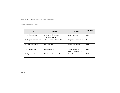HUMAN RESOURCES IN 2011

| <b>Name</b>               | <b>Profession</b>                                       | <b>Function</b>                            | <b>Employed</b><br>since |
|---------------------------|---------------------------------------------------------|--------------------------------------------|--------------------------|
| Ms. Violeta Simjanovska   | MA in Cultural Policy and<br><b>Cultural Management</b> | <b>Executive Manager</b>                   | 1998                     |
| Ms. Mojanchevska Katerina | <b>MA</b> in Communication studies                      | Programme coordinator                      | 2005                     |
| Mr. Naum Simjanovski      | B.Sc. Engineer                                          | Programme assistant                        | 2010                     |
| Ms. Andrijana Zakov       | <b>B.Sc. Economist</b>                                  | Account manager<br>(external collaborator) | 2011                     |
| Mr. Ognen Brazhanski      | B.Sc. Physical Education, IT courses                    | Wed administrator                          | 2009                     |

Page 26

 $=$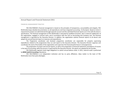#### FINANCIAL MANAGEMENT PRACTICE

 PAC MULTIMEDIA's financial management is based on the principles of transparency, accountability and integrity. PAC Multimedia keeps detailed documentation on all expenditures and have integrated accounting of all projects. Based on donor's requirements projects are administered through separate account and the submitted financial reports are in line with the donor's specifications. The financial management of PAC Multimedia is executed by qualified economist, who is external collaborator of the organisation, engaged in contract work, and in accordance with the Law on Accounting and Company Law. The financial management is operated by the Executive Director. In addition, the organisation submits financial reports to all donors and adopts the annual financial report on revenues and expenditures.

 The Programme coordinator and Assistant programme coordinator are responsible for properly supervising expenditures related to the programmes they run and report to the Executive Director. The Executive Director organises and coordinates the work of the bodies of the organisation and supervises the financial performance in all programmes.

 The preparation of project and annual reports, as well as the preparation of financial statements and balance of income is the task of accounting, while the process is supervised by the Executive Director. All reports are adopted by the founder.

 PAC Multimedia regularly meets legal obligations to submit annual balance sheet. In 2011, external audit is performed by BEND Audit & Consulting, Macedonia.

 PAC MULTIMEDIA is an independent institution and has no party affiliations. Ideas matter to the team of PAC Multimedia more than party ideologies.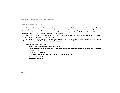#### FINANCIAL RESOURCES AVAILABLE

 During 2011, main donor of PAC Multimedia`s activities has been the Swiss Cultural Programme for the Western Balkan,capitalized in the three year project on local cultural development, the partnership with the Center for Institutional Development—CIRa continued in the course of the year while new partnerships have been established with the UNDP Offices in Skopje and Sarajevo, The US Embassy in Skopje and OSF in Budapest.

During 2011, PAC Multimedia insured in-kind contribution by the municipalities of Tetovo, Kichevo and Gostivar within the scope of the three year project on local cultural development.

 Expenditures in 2011 have been soundly made in accordance with the proposed budget applications and a sound bookkeeping have been made. The balance sheet and income statement are part of this report.

Main donors in 2011 have been:

- Swiss Cultural Programme of the Western Balkan;
- Center for Institutional Development—CIRa through the financial support of the Swiss Development Cooperation Office in Skopje;
- UNDP, Office in Sarajevo;
- Open Society Foundation, Education Support Programme, Budapest;
- UNDP, Office in Skopje;
- US Embassy in Skopje.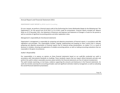#### INDEPENDENT AUDIT REPORT by BEND Audit & Consulting

On your request, we perform a financial report audit of the Performing Arts Centre Multimedia Skopje (in the following text "the Organization"), for the period from 01.01.2011 to 31.12.2011 ready for presentation. Financial reports included are: Balance Sheet as of 31 December 2011, the Statement of Revenues and Expenses and Statement of Changes in Funds for the period as well as a preview of significant accounting policies and other explanation notes.

#### Management's responsibility for the financial statements

Organization's management is responsible for preparing and objective presentation of financial reports, in accordance with RM regulations and principles. This responsibility includes: shaping, implementing and keeping an intern control that is relevant preparing and objective presentation of financial reports free of material wrong interpretation, no matter if it is a result of deceives or mistakes; choosing and application of suitable accounting policies; as well as making accounting evaluations that are reasonable in the given circumstances.

#### Auditor's Responsibility

Our responsibility is to express an opinion on these financial statements based on our audit.We conducted our audit in accordance with International Standards on Auditing. These standards require that we respect ethical demands and plan and perform the audit to obtain reasonable assurance about whether the financial statements are free of material misstatement. The audit includes examining, on test bases, evidence supporting the amounts and disclosures in the financial statements. An audit also includes assessing the accounting principles used and significant estimates made by management, as well as evaluating the overall financial statement presentation.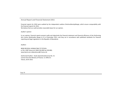Financial reports for 2010 were audited by the independent auditors DimitrovRevizijaSkopje, which ensure comparability with the financial reports for 2011.

We believe that our audit provides reasonable bases for our opinion.

#### Auditor's opinion

In our opinion, financial reports present really and objectively the financial statement and financial efficiency of the Performing Arts Centre Multimedia Skopje at 31 of December 2011, and they are in accordance with published standards for financial reporting and legal regulations in the Republic of Macedonia

#### Auditors

BEND REVIZIJA I KONSALTING TP TETOVO; p.f.26, 1200 Tetovo tel. (044) 350-085 fax 330-800; www.bend.com.mkbendcons@t-home.mk

Authorized Auditor: Dusko ApostolovskiLicense No. 31 License from the Ministry of finance: 11-39417/1 Tetovo, 20.07.2012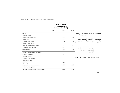|                                        |      | <b>BALANCE SHEET</b><br>As of 31 December<br>(In thousands of MKD) |       |                                                                            |
|----------------------------------------|------|--------------------------------------------------------------------|-------|----------------------------------------------------------------------------|
|                                        | Note | 2011                                                               | 2010  |                                                                            |
| <b>ASSETS</b><br><b>CURRENT ASSETS</b> |      |                                                                    |       | Notes to the financial statements are part<br>of the financial statements. |
| Cash and cash equivalents              |      | 2.517                                                              | 1.147 |                                                                            |
| Receivables                            |      | $\overline{2}$                                                     |       | The accompanied financial statements                                       |
| <b>Total current assets</b>            |      | 2.519                                                              | 1.147 | are approved by the management of the                                      |
| <b>NON-CURRENT ASSETS</b>              |      |                                                                    |       | Organization and signed on its behalf by:                                  |
| Property, plants and equipment         |      | 32                                                                 | 74    |                                                                            |
| Total non-current assets               |      | 32                                                                 | 74    |                                                                            |
| <b>TOTAL ASSETS</b>                    |      | 2.551                                                              | 1.221 | <b>MY</b> <i><b>ATHREAMA</b></i>                                           |
| <b>LIALIBILITES AND OPERATING FUND</b> |      |                                                                    |       |                                                                            |
| <b>CURRENT LIABILITIES</b>             |      | 69                                                                 |       |                                                                            |
| Accounts payable                       |      |                                                                    |       | Violeta Simjanovska, Executive Director                                    |
| <b>Total current liabilities</b>       |      |                                                                    |       |                                                                            |
| <b>OPERATING FUND</b>                  |      |                                                                    |       |                                                                            |
| Operating fund                         |      | 1.179                                                              | 74    |                                                                            |
| Surplus of revenues over expenses      |      | 1.303                                                              | 1.147 |                                                                            |
| <b>Total Operating fund</b>            |      |                                                                    |       |                                                                            |
| TOTAL LIABILITIES AND OPERATING FUND   |      | 2.551                                                              | 1.221 |                                                                            |
|                                        |      |                                                                    |       |                                                                            |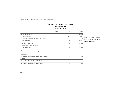|                                          | FOR ZUID AND ZUIT<br>(In thousands of MKD) |       |       |                                        |  |  |  |
|------------------------------------------|--------------------------------------------|-------|-------|----------------------------------------|--|--|--|
|                                          | Note                                       | 2011  | 2010  |                                        |  |  |  |
| Granted donations                        |                                            | 8.322 | 4.658 |                                        |  |  |  |
| Other revenues                           |                                            | 16    | 63    | <b>Notes</b><br>the<br>financial<br>to |  |  |  |
| Surplus of revenues from previous years  |                                            |       | 1.278 | statements are part of the             |  |  |  |
| <b>Total revenues</b>                    |                                            | 8.338 | 5.999 | financial statements.                  |  |  |  |
| Operating expenses                       |                                            | 7.035 | 4.853 |                                        |  |  |  |
| Transfers to subcontractors              |                                            |       |       |                                        |  |  |  |
| <b>Total expenses</b>                    |                                            | 7.035 | 4.853 |                                        |  |  |  |
| Surplus of revenues over expenses before |                                            |       |       |                                        |  |  |  |
| taxes                                    |                                            |       |       |                                        |  |  |  |
| Income tax                               |                                            |       |       |                                        |  |  |  |
| Surplus of revenues over expenses after  |                                            | 1.303 | 1.147 |                                        |  |  |  |
| taxation                                 |                                            |       |       |                                        |  |  |  |
| Accounts payables as of 31.12.20         |                                            |       |       |                                        |  |  |  |
| Surplus of revenues over expenses        |                                            | 1.303 | 1.147 |                                        |  |  |  |
|                                          |                                            |       |       |                                        |  |  |  |

# STATEMENT OF REVENUES AND EXPENSES

For 2010 and 2011

Page 32

 $=$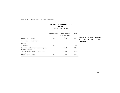#### STATEMENT OF CHANGES IN FUNDS

For 2011

(In thousands of MKD)

|                                                                     | <b>Operating fund</b> | <b>Current surplus</b><br>of revenues over<br>expenses | Total   |     |             |    |     | Notes to the financial statements |
|---------------------------------------------------------------------|-----------------------|--------------------------------------------------------|---------|-----|-------------|----|-----|-----------------------------------|
| Balance as of 01.01.2011                                            | 74                    | 1.147                                                  | 1.221   | are | part        | οf | the | financial                         |
| Correction of prior period errors                                   |                       |                                                        |         |     | statements. |    |     |                                   |
| Additions                                                           |                       |                                                        |         |     |             |    |     |                                   |
| Depreciation                                                        | (42)                  |                                                        | (42)    |     |             |    |     |                                   |
| Transferred surplus of revenues over expenses<br>from previous year |                       | (1.147)                                                | (1.147) |     |             |    |     |                                   |
| Surplus of revenues over expenses for the                           |                       | 1.303                                                  | 1.303   |     |             |    |     |                                   |
| current year                                                        |                       |                                                        |         |     |             |    |     |                                   |
| Balance as of 31.12.2011                                            | 32                    | 1.303                                                  | 1.335   |     |             |    |     |                                   |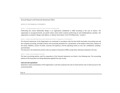#### NOTES TO THE FINANCIAL STATEMENTS

#### NOTE 1. ESTABLISHMENT AND ACTIVITY OF THE ASSOSIATION

Performing Arts Centre Multimedia Skopje is an organization established in 2000 according to the Law of Culture. The organization is non-governmental, non-profit culture centre which conducts performing art and multidisciplinary activities. The organization is located in Skopje, with address: st. Bulevar Goce Delcev 11/1/1 DTC/Mavrovka – Lamela C.

#### NOTE 2. BASIS FOR PREPARATION AND PRESENTATION OF FINANCIAL STATEMENTS

The financial statements of the Organization are conducted In accordance with the Non-Profit Association Accounting Law and the accepted accounting, principles practice and accounting standards for a presentation of the balance sheet items, balance of the assets, liabilities, sources of assets, revenues and expenses, and the operating results on true, fair, confidential, complete, punctual basis.

The amounts in the statements and the notes are stated in thousands of MKD, except when otherwise indicated in the text.

## NOTE 3. BASIC ACCOUNTING POLICIES

The basic accounting policies used for preparation of the financial statements are listed in the following text. The accounting policies of the Association are being adequately applied from year to year.

#### Cash and cash equivalents

Statements require presentation of the Organization's cash that comprises the cash on hand and the cash on bank account in the commercial banks.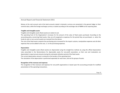Money at the cash account and at the bank accounts stated in domestic currency are presented in the general ledger at their nominal value, while the foreign exchange currency is stated according to the exchange rate of NBRM at the reporting date.

#### Tangible and intangible assets

Tangible and intangible assets (fixed assets) are stated at cost.

The operating fund of the Organization's increases for the amount of the value of fixed assets purchased. According to the accounting policy concerning fixed assets, they are all recognized as expenses for the period they are purchased, i.e. when the funds (in cash or non-current assets) are received from the donors.

The cost of the fixed assets comprise the purchasing price increased for the import customs, manipulative expenses and all other expenses that can be added to the cost, i.e. to the purchasing expenses.

#### Depreciation

Tangible and intangible assets (fixed assets) are depreciated using the straight-line method, by using the official depreciation rates prescribed in the Nomenclature for depreciable assets for non-profit association, so their cost and revaluation are depreciated in equal annual amounts during the estimated utilization period of the fixed assets. The current depreciation amount is entered on the burden of the operating fund. The calculation of the depreciation is performed separately for each item, and not for groups of assets.

#### Recognition of the revenues and expenses

The recognition of the revenues and expenses for non-profit organizations is based upon the accounting principle for modified presentation of the operating transactions.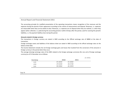The accounting principle for modified presentation of the operating transactions means recognition of the revenues and the expenses during the period of their appearance according to the criteria of measurement and disposal. Revenues, i.e. expenses are measurable when they can be stated at value. Revenues, i.e. expenses are on disposal when they are realized, i.e. when they appear (when collected, i.e. paid) during the accounting period or within 30 days after this period, used for covering this period's liabilities, i.e. the payment liability arisen during this period.

#### Amounts stated in foreign currency

The transactions in foreign currency are stated in MKD according to the Official exchange rate of NBRM at the date oftransaction.

Foreign exchange assets and liabilities of the balance sheet are stated in MKD according to the official exchange rates on the balance sheet date.

The Income Statement includes the net foreign exchange gains and losses that resulted from the conversion of the amounts in foreign currency in the period when they occur.

The average (closing) exchange rates of the MKD related to the foreign exchange currencies (for one unit of foreign exchange currency) as of 31 December are as follows:

an water a

|          |         |         |      | $($ IN MKD $)$ |  |
|----------|---------|---------|------|----------------|--|
| Currency | 2010    |         | 2011 |                |  |
| EUR      | 61.5050 | 61.5050 |      |                |  |
| USD      | 47.5346 | 46.3140 |      |                |  |
| CHF      | 50.5964 | 49.3026 |      |                |  |

|--|--|--|--|--|--|--|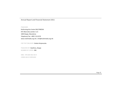## PUBLISHER:

Performing Arts Center MULTIMEDIA DTC Mavrovka Lamela C 1/1 1000 Skopje, Macedonia Telephone/ fax: +389 2 3111570 www.multimedia.org.mk | info@multimedia.org.mk

#### FOR THE PUBLISHER: Violeta Simjanovska

PUBLISHED BY: DataPons, Skopje NUMBER OF COPIES: 300

ISBN: 978-608-4652-06-9COBISS.MK-ID 92854282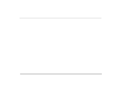<u> Andreas Andreas Andreas Andreas Andreas Andreas Andreas Andreas Andreas Andreas Andreas Andreas Andreas Andr</u>